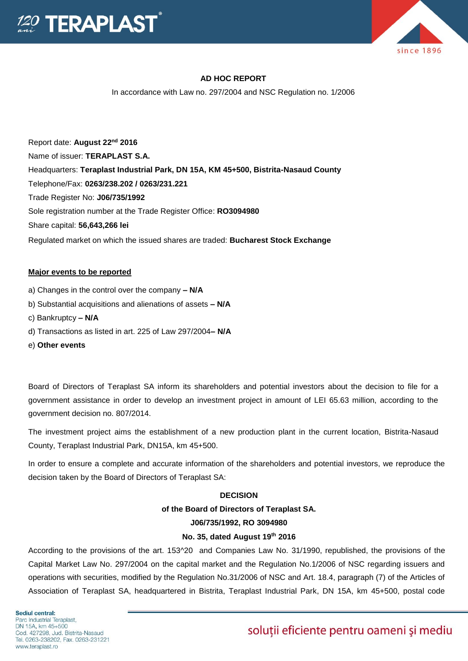



# **AD HOC REPORT**

In accordance with Law no. 297/2004 and NSC Regulation no. 1/2006

Report date: **August 22nd 2016** Name of issuer: **TERAPLAST S.A.**  Headquarters: **Teraplast Industrial Park, DN 15A, KM 45+500, Bistrita-Nasaud County** Telephone/Fax: **0263/238.202 / 0263/231.221** Trade Register No: **J06/735/1992** Sole registration number at the Trade Register Office: **RO3094980** Share capital: **56,643,266 lei**  Regulated market on which the issued shares are traded: **Bucharest Stock Exchange**

## **Major events to be reported**

- a) Changes in the control over the company **– N/A**
- b) Substantial acquisitions and alienations of assets **– N/A**
- c) Bankruptcy **– N/A**
- d) Transactions as listed in art. 225 of Law 297/2004**– N/A**
- e) **Other events**

Board of Directors of Teraplast SA inform its shareholders and potential investors about the decision to file for a government assistance in order to develop an investment project in amount of LEI 65.63 million, according to the government decision no. 807/2014.

The investment project aims the establishment of a new production plant in the current location, Bistrita-Nasaud County, Teraplast Industrial Park, DN15A, km 45+500.

In order to ensure a complete and accurate information of the shareholders and potential investors, we reproduce the decision taken by the Board of Directors of Teraplast SA:

## **DECISION**

## **of the Board of Directors of Teraplast SA.**

## **J06/735/1992, RO 3094980**

# **No. 35, dated August 19th 2016**

According to the provisions of the art. 153^20 and Companies Law No. 31/1990, republished, the provisions of the Capital Market Law No. 297/2004 on the capital market and the Regulation No.1/2006 of NSC regarding issuers and operations with securities, modified by the Regulation No.31/2006 of NSC and Art. 18.4, paragraph (7) of the Articles of Association of Teraplast SA, headquartered in Bistrita, Teraplast Industrial Park, DN 15A, km 45+500, postal code

Sediul central: Parc Industrial Teraplast. DN 15A, km 45+500 Cod. 427298. Jud. Bistrita-Nasaud Tel. 0263-238202, Fax. 0263-231221 www.teraplast.ro

# soluții eficiente pentru oameni și mediu